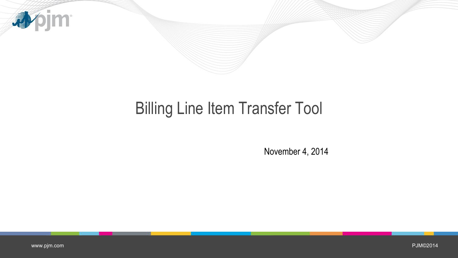

## **Billing Line Item Transfer Tool**

November 4, 2014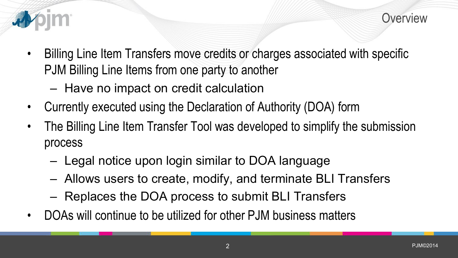

- Billing Line Item Transfers move credits or charges associated with specific PJM Billing Line Items from one party to another
	- Have no impact on credit calculation
- Currently executed using the Declaration of Authority (DOA) form
- The Billing Line Item Transfer Tool was developed to simplify the submission process
	- Legal notice upon login similar to DOA language
	- Allows users to create, modify, and terminate BLI Transfers
	- Replaces the DOA process to submit BLI Transfers
- DOAs will continue to be utilized for other PJM business matters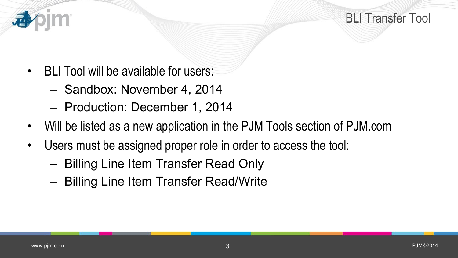

- BLI Tool will be available for users:
	- Sandbox: November 4, 2014
	- Production: December 1, 2014
- Will be listed as a new application in the PJM Tools section of PJM.com
- Users must be assigned proper role in order to access the tool:
	- Billing Line Item Transfer Read Only
	- Billing Line Item Transfer Read/Write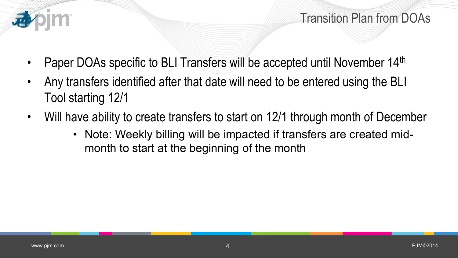

Transition Plan from DOAs

- Paper DOAs specific to BLI Transfers will be accepted until November 14<sup>th</sup>
- Any transfers identified after that date will need to be entered using the BLI Tool starting 12/1
- Will have ability to create transfers to start on 12/1 through month of December
	- Note: Weekly billing will be impacted if transfers are created midmonth to start at the beginning of the month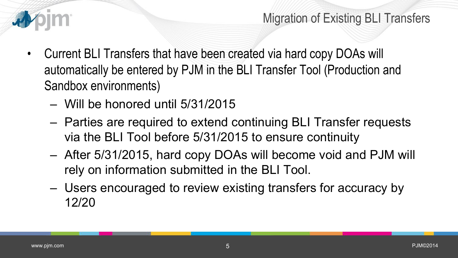

Migration of Existing BLI Transfers

- Current BLI Transfers that have been created via hard copy DOAs will automatically be entered by PJM in the BLI Transfer Tool (Production and Sandbox environments)
	- Will be honored until 5/31/2015
	- Parties are required to extend continuing BLI Transfer requests via the BLI Tool before 5/31/2015 to ensure continuity
	- After 5/31/2015, hard copy DOAs will become void and PJM will rely on information submitted in the BLI Tool.
	- Users encouraged to review existing transfers for accuracy by 12/20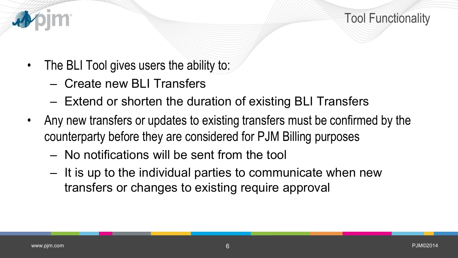

- The BLI Tool gives users the ability to:
	- Create new BLI Transfers
	- Extend or shorten the duration of existing BLI Transfers
- Any new transfers or updates to existing transfers must be confirmed by the counterparty before they are considered for PJM Billing purposes
	- No notifications will be sent from the tool
	- It is up to the individual parties to communicate when new transfers or changes to existing require approval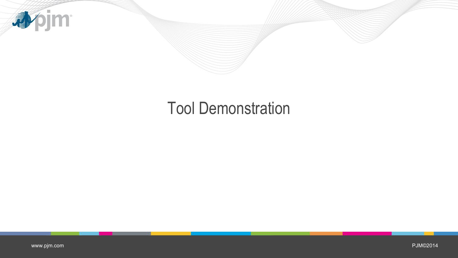

## Tool Demonstration